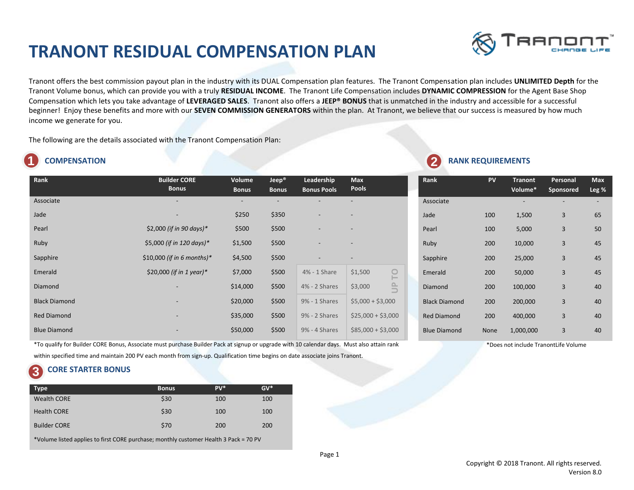# **TRANONT RESIDUAL COMPENSATION PLAN**



Tranont offers the best commission payout plan in the industry with its DUAL Compensation plan features. The Tranont Compensation plan includes **UNLIMITED Depth** for the Tranont Volume bonus, which can provide you with a truly **RESIDUAL INCOME**. The Tranont Life Compensation includes **DYNAMIC COMPRESSION** for the Agent Base Shop Compensation which lets you take advantage of **LEVERAGED SALES**. Tranont also offers a **JEEP® BONUS** that is unmatched in the industry and accessible for a successful beginner! Enjoy these benefits and more with our **SEVEN COMMISSION GENERATORS** within the plan. At Tranont, we believe that our success is measured by how much income we generate for you.

The following are the details associated with the Tranont Compensation Plan:

# **1**

| Rank                 | <b>Builder CORE</b><br><b>Bonus</b> | Volume<br><b>Bonus</b> | Jeep <sup>®</sup><br><b>Bonus</b> | Leadership<br><b>Bonus Pools</b> | <b>Max</b><br><b>Pools</b>                             |
|----------------------|-------------------------------------|------------------------|-----------------------------------|----------------------------------|--------------------------------------------------------|
| Associate            |                                     |                        |                                   |                                  |                                                        |
| Jade                 |                                     | \$250                  | \$350                             |                                  |                                                        |
| Pearl                | \$2,000 (if in 90 days)*            | \$500                  | \$500                             |                                  |                                                        |
| Ruby                 | \$5,000 (if in 120 days)*           | \$1,500                | \$500                             |                                  |                                                        |
| Sapphire             | \$10,000 (if in 6 months)*          | \$4,500                | \$500                             |                                  | $\overline{\phantom{a}}$                               |
| Emerald              | \$20,000 (if in 1 year)*            | \$7,000                | \$500                             | 4% - 1 Share                     | \$1,500<br>$\overline{\phantom{0}}$                    |
| Diamond              |                                     | \$14,000               | \$500                             | 4% - 2 Shares                    | $\triangle$<br>\$3,000<br>$\qquad \qquad \blacksquare$ |
| <b>Black Diamond</b> |                                     | \$20,000               | \$500                             | 9% - 1 Shares                    | $$5,000 + $3,000$                                      |
| <b>Red Diamond</b>   |                                     | \$35,000               | \$500                             | 9% - 2 Shares                    | $$25,000 + $3,000$                                     |
| <b>Blue Diamond</b>  |                                     | \$50,000               | \$500                             | 9% - 4 Shares                    | $$85,000 + $3,000$                                     |
|                      |                                     |                        |                                   |                                  |                                                        |

#### **COMPENSATION COMPENSATION 2**

| <b>Rank</b>          | PV   | <b>Tranont</b><br>Volume* | Personal<br>Sponsored | <b>Max</b><br>Leg % |
|----------------------|------|---------------------------|-----------------------|---------------------|
| Associate            |      |                           |                       |                     |
| Jade                 | 100  | 1,500                     | 3                     | 65                  |
| Pearl                | 100  | 5,000                     | 3                     | 50                  |
| Ruby                 | 200  | 10,000                    | 3                     | 45                  |
| Sapphire             | 200  | 25,000                    | 3                     | 45                  |
| Emerald              | 200  | 50,000                    | 3                     | 45                  |
| Diamond              | 200  | 100,000                   | 3                     | 40                  |
| <b>Black Diamond</b> | 200  | 200,000                   | 3                     | 40                  |
| <b>Red Diamond</b>   | 200  | 400,000                   | 3                     | 40                  |
| <b>Blue Diamond</b>  | None | 1,000,000                 | 3                     | 40                  |

\*To qualify for Builder CORE Bonus, Associate must purchase Builder Pack at signup or upgrade with 10 calendar days. Must also attain rank

within specified time and maintain 200 PV each month from sign-up. Qualification time begins on date associate joins Tranont.

## **CORE STARTER BONUS 3**

| <b>Type</b>         | <b>Bonus</b> | $PV^*$ | $GV^*$ |
|---------------------|--------------|--------|--------|
| <b>Wealth CORE</b>  | \$30         | 100    | 100    |
| <b>Health CORE</b>  | \$30         | 100    | 100    |
| <b>Builder CORE</b> | \$70         | 200    | 200    |

\*Volume listed applies to first CORE purchase; monthly customer Health 3 Pack = 70 PV

\*Does not include TranontLife Volume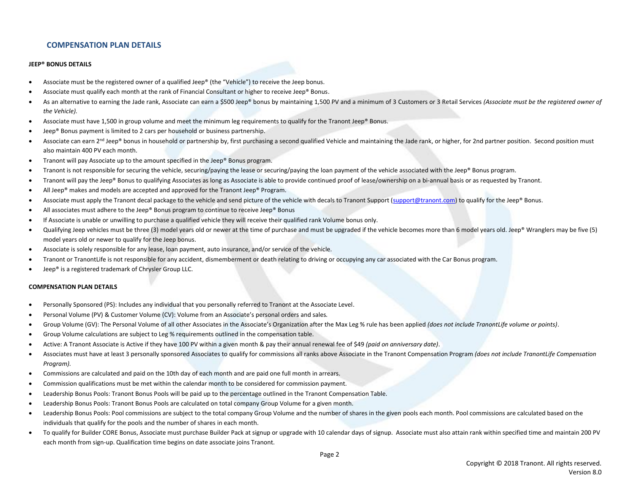# **COMPENSATION PLAN DETAILS**

### **JEEP® BONUS DETAILS**

- Associate must be the registered owner of a qualified Jeep® (the "Vehicle") to receive the Jeep bonus.
- Associate must qualify each month at the rank of Financial Consultant or higher to receive Jeep® Bonus.
- As an alternative to earning the Jade rank, Associate can earn a \$500 Jeep® bonus by maintaining 1,500 PV and a minimum of 3 Customers or 3 Retail Services *(Associate must be the registered owner of the Vehicle).*
- Associate must have 1,500 in group volume and meet the minimum leg requirements to qualify for the Tranont Jeep® Bonus.
- Jeep® Bonus payment is limited to 2 cars per household or business partnership.
- Associate can earn 2<sup>nd</sup> Jeep® bonus in household or partnership by, first purchasing a second qualified Vehicle and maintaining the Jade rank, or higher, for 2nd partner position. Second position must also maintain 400 PV each month.
- Tranont will pay Associate up to the amount specified in the Jeep® Bonus program.
- Tranont is not responsible for securing the vehicle, securing/paying the lease or securing/paying the loan payment of the vehicle associated with the Jeep® Bonus program.
- Tranont will pay the Jeep® Bonus to qualifying Associates as long as Associate is able to provide continued proof of lease/ownership on a bi-annual basis or as requested by Tranont.
- All Jeep® makes and models are accepted and approved for the Tranont Jeep® Program.
- Associate must apply the Tranont decal package to the vehicle and send picture of the vehicle with decals to Tranont Support (support @tranont.com) to qualify for the Jeep® Bonus.
- All associates must adhere to the Jeep® Bonus program to continue to receive Jeep® Bonus
- If Associate is unable or unwilling to purchase a qualified vehicle they will receive their qualified rank Volume bonus only.
- Qualifying Jeep vehicles must be three (3) model years old or newer at the time of purchase and must be upgraded if the vehicle becomes more than 6 model years old. Jeep® Wranglers may be five (5) model years old or newer to qualify for the Jeep bonus.
- Associate is solely responsible for any lease, loan payment, auto insurance, and/or service of the vehicle.
- Tranont or TranontLife is not responsible for any accident, dismemberment or death relating to driving or occupying any car associated with the Car Bonus program.
- Jeep® is a registered trademark of Chrysler Group LLC.

#### **COMPENSATION PLAN DETAILS**

- Personally Sponsored (PS): Includes any individual that you personally referred to Tranont at the Associate Level.
- Personal Volume (PV) & Customer Volume (CV): Volume from an Associate's personal orders and sales*.*
- Group Volume (GV): The Personal Volume of all other Associates in the Associate's Organization after the Max Leg % rule has been applied *(does not include TranontLife volume or points)*.
- Group Volume calculations are subject to Leg % requirements outlined in the compensation table.
- Active: A Tranont Associate is Active if they have 100 PV within a given month & pay their annual renewal fee of \$49 *(paid on anniversary date)*.
- Associates must have at least 3 personally sponsored Associates to qualify for commissions all ranks above Associate in the Tranont Compensation Program *(does not include TranontLife Compensation Program).*
- Commissions are calculated and paid on the 10th day of each month and are paid one full month in arrears.
- Commission qualifications must be met within the calendar month to be considered for commission payment.
- Leadership Bonus Pools: Tranont Bonus Pools will be paid up to the percentage outlined in the Tranont Compensation Table.
- Leadership Bonus Pools: Tranont Bonus Pools are calculated on total company Group Volume for a given month.
- Leadership Bonus Pools: Pool commissions are subject to the total company Group Volume and the number of shares in the given pools each month. Pool commissions are calculated based on the individuals that qualify for the pools and the number of shares in each month.
- To qualify for Builder CORE Bonus, Associate must purchase Builder Pack at signup or upgrade with 10 calendar days of signup. Associate must also attain rank within specified time and maintain 200 PV each month from sign-up. Qualification time begins on date associate joins Tranont.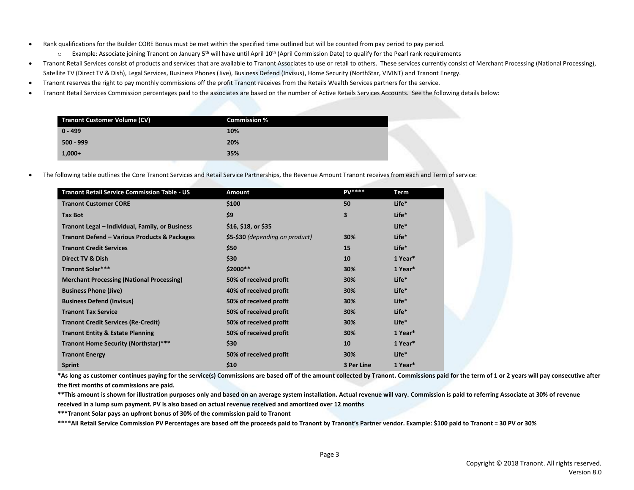- Rank qualifications for the Builder CORE Bonus must be met within the specified time outlined but will be counted from pay period to pay period.
	- $\circ$  Example: Associate joining Tranont on January 5<sup>th</sup> will have until April 10<sup>th</sup> (April Commission Date) to qualify for the Pearl rank requirements
- Tranont Retail Services consist of products and services that are available to Tranont Associates to use or retail to others. These services currently consist of Merchant Processing (National Processing), Satellite TV (Direct TV & Dish), Legal Services, Business Phones (Jive), Business Defend (Invisus), Home Security (NorthStar, VIVINT) and Tranont Energy.
- Tranont reserves the right to pay monthly commissions off the profit Tranont receives from the Retails Wealth Services partners for the service.
- Tranont Retail Services Commission percentages paid to the associates are based on the number of Active Retails Services Accounts. See the following details below:

| <b>Tranont Customer Volume (CV)</b> | <b>Commission %</b> |  |
|-------------------------------------|---------------------|--|
| $0 - 499$                           | 10%                 |  |
| $500 - 999$                         | 20%                 |  |
| $1,000+$                            | 35%                 |  |

• The following table outlines the Core Tranont Services and Retail Service Partnerships, the Revenue Amount Tranont receives from each and Term of service:

| <b>Tranont Retail Service Commission Table - US</b> | Amount                          | <b>PV****</b> | Term              |
|-----------------------------------------------------|---------------------------------|---------------|-------------------|
| <b>Tranont Customer CORE</b>                        | \$100                           | 50            | Life <sup>*</sup> |
| <b>Tax Bot</b>                                      | \$9                             | 3             | Life*             |
| Tranont Legal – Individual, Family, or Business     | \$16, \$18, or \$35             |               | Life <sup>*</sup> |
| Tranont Defend - Various Products & Packages        | \$5-\$30 (depending on product) | 30%           | Life <sup>*</sup> |
| <b>Tranont Credit Services</b>                      | \$50                            | 15            | Life <sup>*</sup> |
| Direct TV & Dish                                    | \$30                            | 10            | 1 Year*           |
| <b>Tranont Solar***</b>                             | \$2000**                        | 30%           | 1 Year*           |
| <b>Merchant Processing (National Processing)</b>    | 50% of received profit          | 30%           | Life*             |
| <b>Business Phone (Jive)</b>                        | 40% of received profit          | 30%           | Life <sup>*</sup> |
| <b>Business Defend (Invisus)</b>                    | 50% of received profit          | 30%           | Life <sup>*</sup> |
| <b>Tranont Tax Service</b>                          | 50% of received profit          | 30%           | Life <sup>*</sup> |
| <b>Tranont Credit Services (Re-Credit)</b>          | 50% of received profit          | 30%           | Life*             |
| <b>Tranont Entity &amp; Estate Planning</b>         | 50% of received profit          | 30%           | 1 Year*           |
| Tranont Home Security (Northstar)***                | \$30                            | 10            | 1 Year*           |
| <b>Tranont Energy</b>                               | 50% of received profit          | 30%           | Life <sup>*</sup> |
| <b>Sprint</b>                                       | \$10                            | 3 Per Line    | 1 Year*           |

**\*As long as customer continues paying for the service(s) Commissions are based off of the amount collected by Tranont. Commissions paid for the term of 1 or 2 years will pay consecutive after the first months of commissions are paid.**

**\*\*This amount is shown for illustration purposes only and based on an average system installation. Actual revenue will vary. Commission is paid to referring Associate at 30% of revenue received in a lump sum payment. PV is also based on actual revenue received and amortized over 12 months**

**\*\*\*Tranont Solar pays an upfront bonus of 30% of the commission paid to Tranont**

**\*\*\*\*All Retail Service Commission PV Percentages are based off the proceeds paid to Tranont by Tranont's Partner vendor. Example: \$100 paid to Tranont = 30 PV or 30%**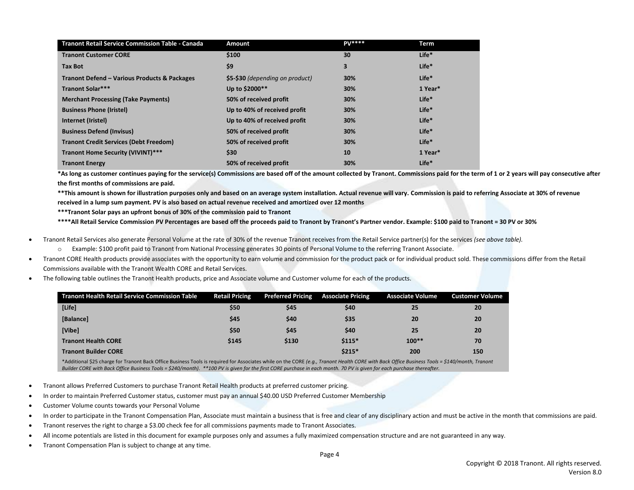| <b>Tranont Retail Service Commission Table - Canada</b> | <b>Amount</b>                   | <b>PV****</b> | Term              |
|---------------------------------------------------------|---------------------------------|---------------|-------------------|
| <b>Tranont Customer CORE</b>                            | \$100                           | 30            | Life*             |
| <b>Tax Bot</b>                                          | \$9                             | 3             | Life*             |
| Tranont Defend - Various Products & Packages            | \$5-\$30 (depending on product) | 30%           | Life*             |
| <b>Tranont Solar***</b>                                 | Up to \$2000**                  | 30%           | 1 Year*           |
| <b>Merchant Processing (Take Payments)</b>              | 50% of received profit          | 30%           | Life*             |
| <b>Business Phone (Iristel)</b>                         | Up to 40% of received profit    | 30%           | Life <sup>*</sup> |
| Internet (Iristel)                                      | Up to 40% of received profit    | 30%           | Life <sup>*</sup> |
| <b>Business Defend (Invisus)</b>                        | 50% of received profit          | 30%           | Life*             |
| <b>Tranont Credit Services (Debt Freedom)</b>           | 50% of received profit          | 30%           | Life*             |
| Tranont Home Security (VIVINT)***                       | \$30                            | 10            | 1 Year*           |
| <b>Tranont Energy</b>                                   | 50% of received profit          | 30%           | Life <sup>*</sup> |

**\*As long as customer continues paying for the service(s) Commissions are based off of the amount collected by Tranont. Commissions paid for the term of 1 or 2 years will pay consecutive after the first months of commissions are paid.**

**\*\*This amount is shown for illustration purposes only and based on an average system installation. Actual revenue will vary. Commission is paid to referring Associate at 30% of revenue received in a lump sum payment. PV is also based on actual revenue received and amortized over 12 months**

**\*\*\*Tranont Solar pays an upfront bonus of 30% of the commission paid to Tranont**

**\*\*\*\*All Retail Service Commission PV Percentages are based off the proceeds paid to Tranont by Tranont's Partner vendor. Example: \$100 paid to Tranont = 30 PV or 30%**

- Tranont Retail Services also generate Personal Volume at the rate of 30% of the revenue Tranont receives from the Retail Service partner(s) for the services *(see above table).*
	- o Example: \$100 profit paid to Tranont from National Processing generates 30 points of Personal Volume to the referring Tranont Associate.
- Tranont CORE Health products provide associates with the opportunity to earn volume and commission for the product pack or for individual product sold. These commissions differ from the Retail Commissions available with the Tranont Wealth CORE and Retail Services.
- The following table outlines the Tranont Health products, price and Associate volume and Customer volume for each of the products.

| <b>Tranont Health Retail Service Commission Table</b><br><b>Retail Pricing</b><br><b>Preferred Pricing</b><br><b>Associate Volume</b><br><b>Associate Pricing</b><br><b>Customer Volume</b><br>[Life]<br>\$45<br>\$50<br>\$40<br>25<br>20<br>\$40<br>\$35<br>[Balance]<br>\$45<br>20<br>20<br>[Vibe]<br>\$45<br>\$50<br>\$40<br>25<br>20<br>$$115*$<br>$100**$<br>\$145<br>\$130<br>70<br><b>Tranont Health CORE</b><br>$$215*$<br>200<br><b>Tranont Builder CORE</b><br>150 |  |  |  |
|------------------------------------------------------------------------------------------------------------------------------------------------------------------------------------------------------------------------------------------------------------------------------------------------------------------------------------------------------------------------------------------------------------------------------------------------------------------------------|--|--|--|
|                                                                                                                                                                                                                                                                                                                                                                                                                                                                              |  |  |  |
|                                                                                                                                                                                                                                                                                                                                                                                                                                                                              |  |  |  |
|                                                                                                                                                                                                                                                                                                                                                                                                                                                                              |  |  |  |
|                                                                                                                                                                                                                                                                                                                                                                                                                                                                              |  |  |  |
|                                                                                                                                                                                                                                                                                                                                                                                                                                                                              |  |  |  |
|                                                                                                                                                                                                                                                                                                                                                                                                                                                                              |  |  |  |

\*Additional \$25 charge for Tranont Back Office Business Tools is required for Associates while on the CORE *(e.g., Tranont Health CORE with Back Office Business Tools = \$140/month, Tranont Builder CORE with Back Office Business Tools = \$240/month). \*\*100 PV is given for the first CORE purchase in each month. 70 PV is given for each purchase thereafter.*

- Tranont allows Preferred Customers to purchase Tranont Retail Health products at preferred customer pricing.
- In order to maintain Preferred Customer status, customer must pay an annual \$40.00 USD Preferred Customer Membership
- Customer Volume counts towards your Personal Volume
- In order to participate in the Tranont Compensation Plan, Associate must maintain a business that is free and clear of any disciplinary action and must be active in the month that commissions are paid.
- Tranont reserves the right to charge a \$3.00 check fee for all commissions payments made to Tranont Associates.
- All income potentials are listed in this document for example purposes only and assumes a fully maximized compensation structure and are not guaranteed in any way.
- Tranont Compensation Plan is subject to change at any time.